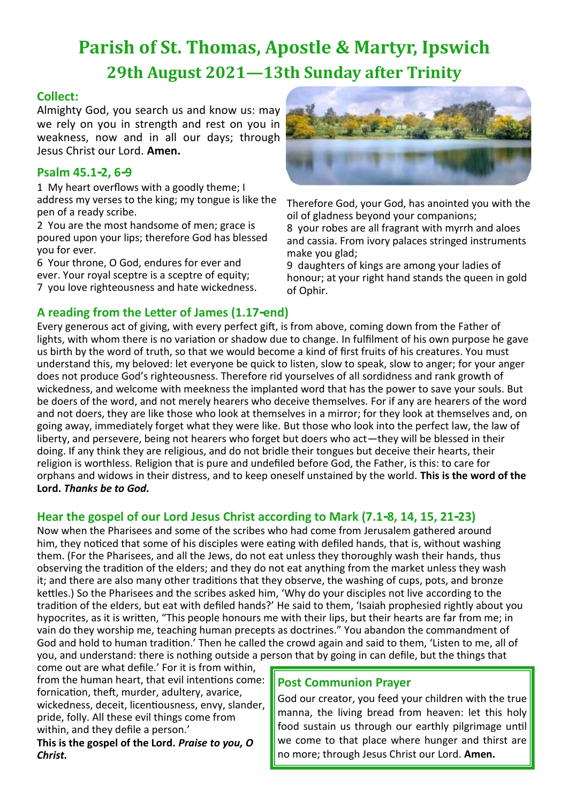# **Parish of St. Thomas, Apostle & Martyr, Ipswich 29th August 2021—13th Sunday after Trinity**

#### **Collect:**

Almighty God, you search us and know us: may we rely on you in strength and rest on you in weakness, now and in all our days; through Jesus Christ our Lord. **Amen.**

#### **Psalm 45.1-2, 6-9**

1 My heart overflows with a goodly theme; I address my verses to the king; my tongue is like the pen of a ready scribe.

2 You are the most handsome of men; grace is poured upon your lips; therefore God has blessed you for ever.

6 Your throne, O God, endures for ever and ever. Your royal sceptre is a sceptre of equity; 7 you love righteousness and hate wickedness.

Therefore God, your God, has anointed you with the oil of gladness beyond your companions; 8 your robes are all fragrant with myrrh and aloes and cassia. From ivory palaces stringed instruments make you glad;

9 daughters of kings are among your ladies of honour; at your right hand stands the queen in gold of Ophir.

### **A reading from the Letter of James (1.17-end)**

Every generous act of giving, with every perfect gift, is from above, coming down from the Father of lights, with whom there is no variation or shadow due to change. In fulfilment of his own purpose he gave us birth by the word of truth, so that we would become a kind of first fruits of his creatures. You must understand this, my beloved: let everyone be quick to listen, slow to speak, slow to anger; for your anger does not produce God's righteousness. Therefore rid yourselves of all sordidness and rank growth of wickedness, and welcome with meekness the implanted word that has the power to save your souls. But be doers of the word, and not merely hearers who deceive themselves. For if any are hearers of the word and not doers, they are like those who look at themselves in a mirror; for they look at themselves and, on going away, immediately forget what they were like. But those who look into the perfect law, the law of liberty, and persevere, being not hearers who forget but doers who act—they will be blessed in their doing. If any think they are religious, and do not bridle their tongues but deceive their hearts, their religion is worthless. Religion that is pure and undefiled before God, the Father, is this: to care for orphans and widows in their distress, and to keep oneself unstained by the world. **This is the word of the Lord.** *Thanks be to God.*

# **Hear the gospel of our Lord Jesus Christ according to Mark (7.1-8, 14, 15, 21-23)**

Now when the Pharisees and some of the scribes who had come from Jerusalem gathered around him, they noticed that some of his disciples were eating with defiled hands, that is, without washing them. (For the Pharisees, and all the Jews, do not eat unless they thoroughly wash their hands, thus observing the tradition of the elders; and they do not eat anything from the market unless they wash it; and there are also many other traditions that they observe, the washing of cups, pots, and bronze kettles.) So the Pharisees and the scribes asked him, 'Why do your disciples not live according to the tradition of the elders, but eat with defiled hands?' He said to them, 'Isaiah prophesied rightly about you hypocrites, as it is written, "This people honours me with their lips, but their hearts are far from me; in vain do they worship me, teaching human precepts as doctrines." You abandon the commandment of God and hold to human tradition.' Then he called the crowd again and said to them, 'Listen to me, all of you, and understand: there is nothing outside a person that by going in can defile, but the things that

come out are what defile.' For it is from within, from the human heart, that evil intentions come: fornication, theft, murder, adultery, avarice, wickedness, deceit, licentiousness, envy, slander, pride, folly. All these evil things come from within, and they defile a person.'

**This is the gospel of the Lord.** *Praise to you, O Christ.*

#### **Post Communion Prayer**

God our creator, you feed your children with the true manna, the living bread from heaven: let this holy food sustain us through our earthly pilgrimage until we come to that place where hunger and thirst are no more; through Jesus Christ our Lord. **Amen.**